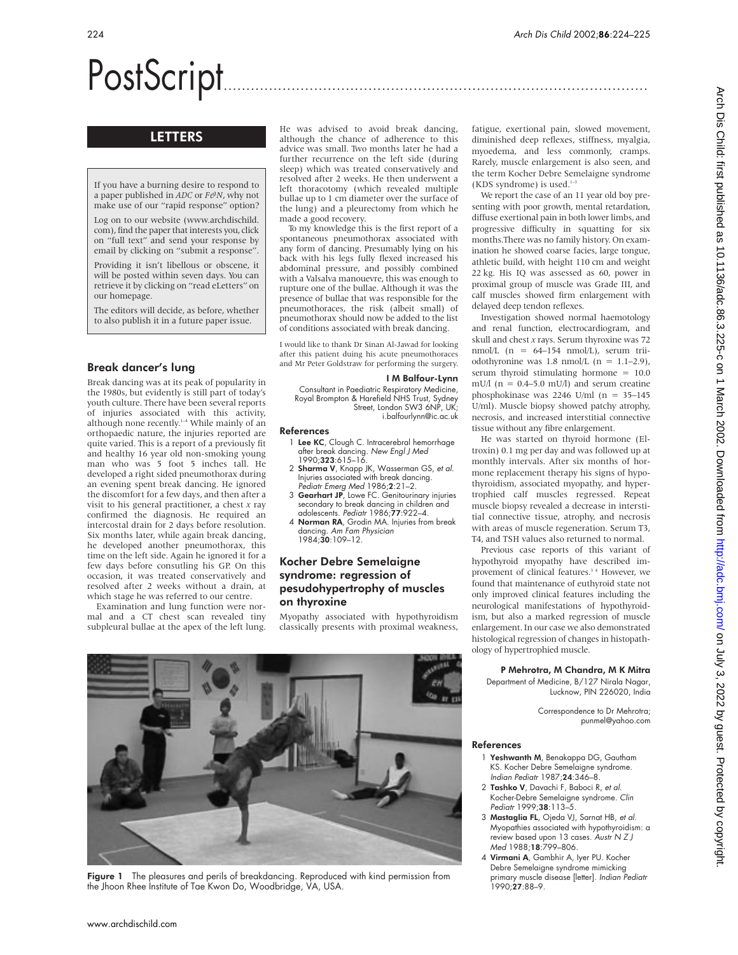# PostScript..............................................................................................

# LETTERS

If you have a burning desire to respond to a paper published in *ADC* or *F&N*, why not make use of our "rapid response" option?

Log on to our website (www.archdischild. com), find the paper that interests you, click on "full text" and send your response by email by clicking on "submit a response".

Providing it isn't libellous or obscene, it will be posted within seven days. You can retrieve it by clicking on "read eLetters" on our homepage.

The editors will decide, as before, whether to also publish it in a future paper issue.

## Break dancer's lung

Break dancing was at its peak of popularity in the 1980s, but evidently is still part of today's youth culture. There have been several reports of injuries associated with this activity, although none recently.<sup>1-4</sup> While mainly of an orthopaedic nature, the injuries reported are quite varied. This is a report of a previously fit and healthy 16 year old non-smoking young man who was 5 foot 5 inches tall. He developed a right sided pneumothorax during an evening spent break dancing. He ignored the discomfort for a few days, and then after a visit to his general practitioner, a chest *x* ray confirmed the diagnosis. He required an intercostal drain for 2 days before resolution. Six months later, while again break dancing, he developed another pneumothorax, this time on the left side. Again he ignored it for a few days before consutling his GP. On this occasion, it was treated conservatively and resolved after 2 weeks without a drain, at which stage he was referred to our centre.

Examination and lung function were normal and a CT chest scan revealed tiny subpleural bullae at the apex of the left lung. He was advised to avoid break dancing, although the chance of adherence to this advice was small. Two months later he had a further recurrence on the left side (during sleep) which was treated conservatively and resolved after 2 weeks. He then underwent a left thoracotomy (which revealed multiple bullae up to 1 cm diameter over the surface of the lung) and a pleurectomy from which he made a good recovery.

To my knowledge this is the first report of a spontaneous pneumothorax associated with any form of dancing. Presumably lying on his back with his legs fully flexed increased his abdominal pressure, and possibly combined with a Valsalva manouevre, this was enough to rupture one of the bullae. Although it was the presence of bullae that was responsible for the pneumothoraces, the risk (albeit small) of pneumothorax should now be added to the list of conditions associated with break dancing.

I would like to thank Dr Sinan Al-Jawad for looking after this patient duing his acute pneumothoraces and Mr Peter Goldstraw for performing the surgery.

#### I M Balfour-Lynn

Consultant in Paediatric Respiratory Medicine, Royal Brompton & Harefield NHS Trust, Sydney Street, London SW3 6NP, UK i.balfourlynn@ic.ac.uk

#### References

- 1 Lee KC, Clough C. Intracerebral hemorrhage after break dancing. New Engl J Med 1990;323:615–16.
- 2 Sharma V, Knapp JK, Wasserman GS, et al. Injuries associated with break dancing. Pediatr Emerg Med 1986;2:21–2.
- 3 Gearhart JP, Lowe FC. Genitourinary injuries secondary to break dancing in children and adolescents. Pediatr 1986;77:922–4.
- 4 Norman RA, Grodin MA. Injuries from break dancing. Am Fam Physician 1984;30:109–12.

## Kocher Debre Semelaigne syndrome: regression of pesudohypertrophy of muscles on thyroxine

Myopathy associated with hypothyroidism classically presents with proximal weakness,



Figure 1 The pleasures and perils of breakdancing. Reproduced with kind permission from the Jhoon Rhee Institute of Tae Kwon Do, Woodbridge, VA, USA.

fatigue, exertional pain, slowed movement, diminished deep reflexes, stiffness, myalgia, myoedema, and less commonly, cramps. Rarely, muscle enlargement is also seen, and the term Kocher Debre Semelaigne syndrome (KDS syndrome) is used. $1-3$ 

We report the case of an 11 year old boy presenting with poor growth, mental retardation, diffuse exertional pain in both lower limbs, and progressive difficulty in squatting for six months.There was no family history. On examination he showed coarse facies, large tongue, athletic build, with height 110 cm and weight 22 kg. His IQ was assessed as 60, power in proximal group of muscle was Grade III, and calf muscles showed firm enlargement with delayed deep tendon reflexes.

Investigation showed normal haemotology and renal function, electrocardiogram, and skull and chest *x* rays. Serum thyroxine was 72 nmol/L  $(n = 64-154 \text{ nmol/L})$ , serum triiodothyronine was 1.8 nmol/L  $(n = 1.1-2.9)$ , serum thyroid stimulating hormone = 10.0 mU/l ( $n = 0.4 - 5.0$  mU/l) and serum creatine phosphokinase was 2246 U/ml (n = 35–145 U/ml). Muscle biopsy showed patchy atrophy, necrosis, and increased interstitial connective tissue without any fibre enlargement.

He was started on thyroid hormone (Eltroxin) 0.1 mg per day and was followed up at monthly intervals. After six months of hormone replacement therapy his signs of hypothyroidism, associated myopathy, and hypertrophied calf muscles regressed. Repeat muscle biopsy revealed a decrease in interstitial connective tissue, atrophy, and necrosis with areas of muscle regeneration. Serum T3, T4, and TSH values also returned to normal.

Previous case reports of this variant of hypothyroid myopathy have described improvement of clinical features.<sup>34</sup> However, we found that maintenance of euthyroid state not only improved clinical features including the neurological manifestations of hypothyroidism, but also a marked regression of muscle enlargement. In our case we also demonstrated histological regression of changes in histopathology of hypertrophied muscle.

#### P Mehrotra, M Chandra, M K Mitra Department of Medicine, B/127 Nirala Nagar,

Lucknow, PIN 226020, India

Correspondence to Dr Mehrotra; punmel@yahoo.com

#### References

- 1 Yeshwanth M, Benakappa DG, Gautham KS. Kocher Debre Semelaigne syndrome. Indian Pediatr 1987;24:346–8.
- 2 Tashko V, Davachi F, Baboci R, et al. Kocher-Debre Semelaigne syndrome. Clin Pediatr 1999;38:113–5.
- 3 Mastaglia FL, Ojeda VJ, Sarnat HB, et al. Myopathies associated with hypothyroidism: a review based upon 13 cases. Austr N Z J Med 1988;18:799–806.
- 4 Virmani A, Gambhir A, Iyer PU. Kocher Debre Semelaigne syndrome mimicking primary muscle disease [letter]. Indian Pediatr 1990;27:88–9.